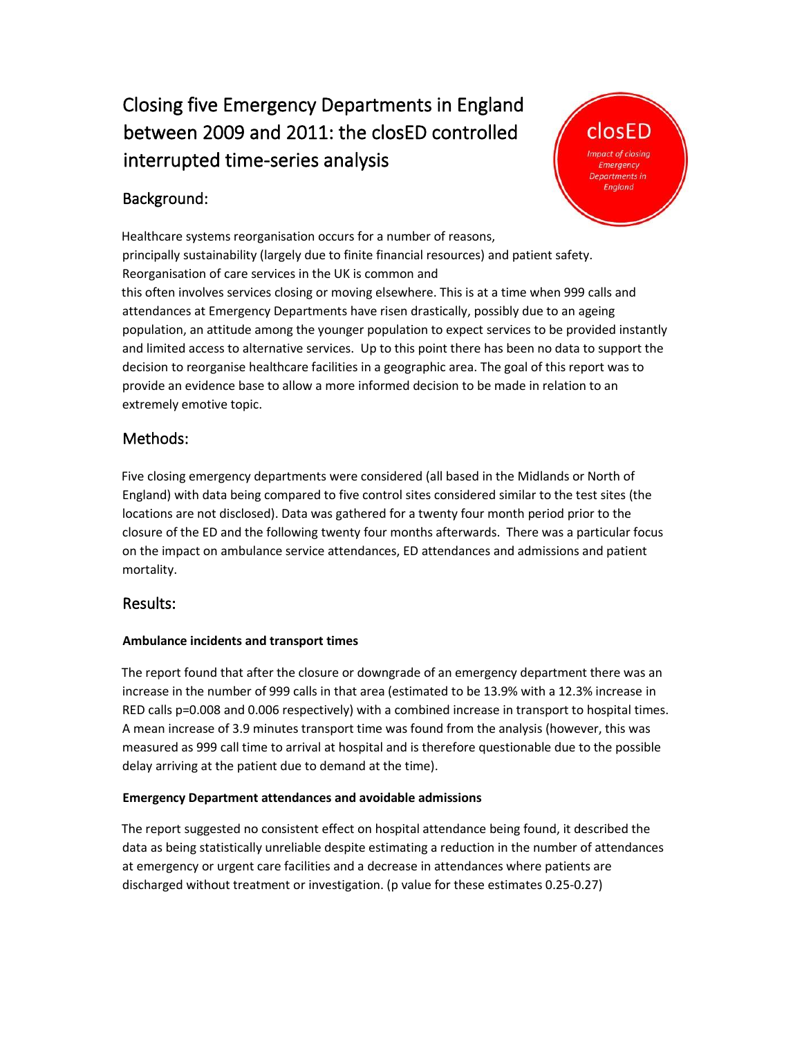# Closing five Emergency Departments in England between 2009 and 2011: the closED controlled interrupted time-series analysis

## Background:



Healthcare systems reorganisation occurs for a number of reasons, principally sustainability (largely due to finite financial resources) and patient safety. Reorganisation of care services in the UK is common and this often involves services closing or moving elsewhere. This is at a time when 999 calls and attendances at Emergency Departments have risen drastically, possibly due to an ageing population, an attitude among the younger population to expect services to be provided instantly and limited access to alternative services. Up to this point there has been no data to support the decision to reorganise healthcare facilities in a geographic area. The goal of this report was to provide an evidence base to allow a more informed decision to be made in relation to an extremely emotive topic.

## Methods:

Five closing emergency departments were considered (all based in the Midlands or North of England) with data being compared to five control sites considered similar to the test sites (the locations are not disclosed). Data was gathered for a twenty four month period prior to the closure of the ED and the following twenty four months afterwards. There was a particular focus on the impact on ambulance service attendances, ED attendances and admissions and patient mortality.

### Results:

#### **Ambulance incidents and transport times**

The report found that after the closure or downgrade of an emergency department there was an increase in the number of 999 calls in that area (estimated to be 13.9% with a 12.3% increase in RED calls p=0.008 and 0.006 respectively) with a combined increase in transport to hospital times. A mean increase of 3.9 minutes transport time was found from the analysis (however, this was measured as 999 call time to arrival at hospital and is therefore questionable due to the possible delay arriving at the patient due to demand at the time).

#### **Emergency Department attendances and avoidable admissions**

The report suggested no consistent effect on hospital attendance being found, it described the data as being statistically unreliable despite estimating a reduction in the number of attendances at emergency or urgent care facilities and a decrease in attendances where patients are discharged without treatment or investigation. (p value for these estimates 0.25-0.27)